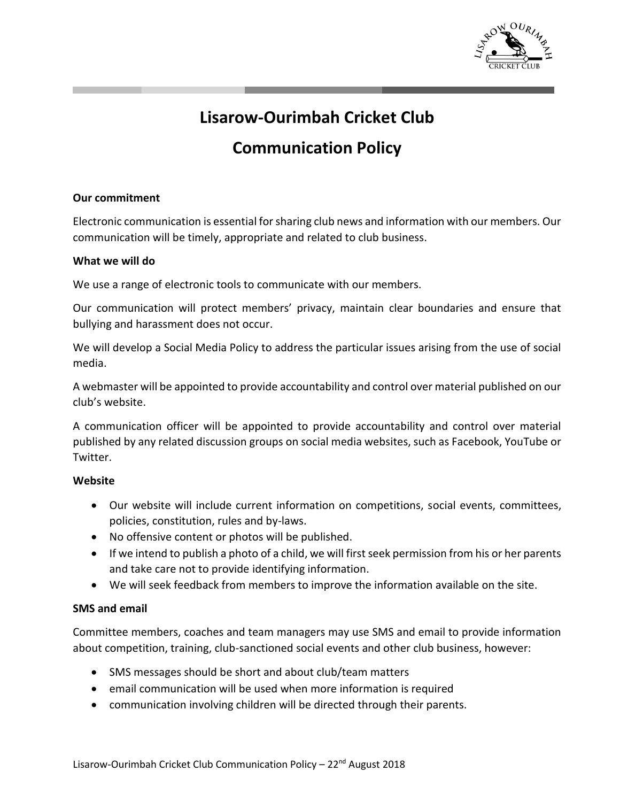

# **Lisarow-Ourimbah Cricket Club**

# **Communication Policy**

### **Our commitment**

Electronic communication is essential for sharing club news and information with our members. Our communication will be timely, appropriate and related to club business.

#### **What we will do**

We use a range of electronic tools to communicate with our members.

Our communication will protect members' privacy, maintain clear boundaries and ensure that bullying and harassment does not occur.

We will develop a Social Media Policy to address the particular issues arising from the use of social media.

A webmaster will be appointed to provide accountability and control over material published on our club's website.

A communication officer will be appointed to provide accountability and control over material published by any related discussion groups on social media websites, such as Facebook, YouTube or Twitter.

#### **Website**

- Our website will include current information on competitions, social events, committees, policies, constitution, rules and by-laws.
- No offensive content or photos will be published.
- If we intend to publish a photo of a child, we will first seek permission from his or her parents and take care not to provide identifying information.
- We will seek feedback from members to improve the information available on the site.

## **SMS and email**

Committee members, coaches and team managers may use SMS and email to provide information about competition, training, club-sanctioned social events and other club business, however:

- SMS messages should be short and about club/team matters
- email communication will be used when more information is required
- communication involving children will be directed through their parents.